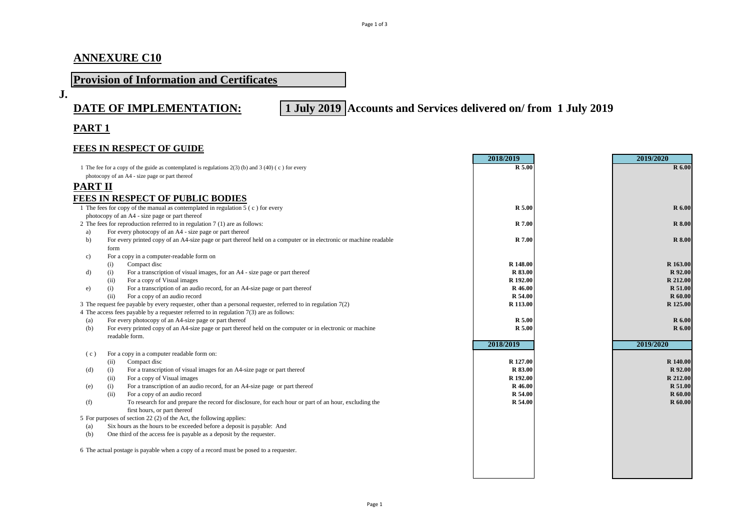# **ANNEXURE C10**

# **Provision of Information and Certificates**

**J.**

**DATE OF IMPLEMENTATION: 1 July 2019 Accounts and Services delivered on/ from 1 July 2019**

# **PART 1**

#### **FEES IN RESPECT OF GUIDE**

|                                                |                                                                                                                                                 | 2018/2019          | 2019/2020                        |
|------------------------------------------------|-------------------------------------------------------------------------------------------------------------------------------------------------|--------------------|----------------------------------|
|                                                | 1 The fee for a copy of the guide as contemplated is regulations $2(3)$ (b) and $3(40)$ (c) for every                                           | R 5.00             | R 6.00                           |
|                                                | photocopy of an A4 - size page or part thereof                                                                                                  |                    |                                  |
| <b>PART II</b>                                 |                                                                                                                                                 |                    |                                  |
|                                                | <b>FEES IN RESPECT OF PUBLIC BODIES</b>                                                                                                         |                    |                                  |
|                                                | 1 The fees for copy of the manual as contemplated in regulation 5 (c) for every                                                                 | R 5.00             | <b>R</b> 6.00                    |
| photocopy of an A4 - size page or part thereof |                                                                                                                                                 |                    |                                  |
|                                                | 2 The fees for reproduction referred to in regulation $7(1)$ are as follows:                                                                    | <b>R</b> 7.00      | <b>R</b> 8.00                    |
| a)                                             | For every photocopy of an A4 - size page or part thereof                                                                                        |                    |                                  |
| b)                                             | For every printed copy of an A4-size page or part thereof held on a computer or in electronic or machine readable<br>form                       | R 7.00             | <b>R</b> 8.00                    |
| c)                                             | For a copy in a computer-readable form on                                                                                                       |                    |                                  |
|                                                | Compact disc<br>(i)                                                                                                                             | R 148.00           | R 163.00                         |
| d)                                             | For a transcription of visual images, for an A4 - size page or part thereof<br>(i)                                                              | R 83.00            | R 92.00                          |
|                                                | For a copy of Visual images<br>(ii)                                                                                                             | R 192.00           | R 212.00                         |
| e)                                             | For a transcription of an audio record, for an A4-size page or part thereof<br>(i)                                                              | R 46.00            | R 51.00                          |
|                                                | (ii)<br>For a copy of an audio record                                                                                                           | R 54.00            | <b>R</b> 60.00                   |
|                                                | 3 The request fee payable by every requester, other than a personal requester, referred to in regulation 7(2)                                   | R 113.00           | R 125.00                         |
|                                                | 4 The access fees payable by a requester referred to in regulation $7(3)$ are as follows:                                                       |                    |                                  |
| (a)                                            | For every photocopy of an A4-size page or part thereof                                                                                          | R 5.00             | <b>R</b> 6.00                    |
| (b)                                            | For every printed copy of an A4-size page or part thereof held on the computer or in electronic or machine                                      | R 5.00             | <b>R</b> 6.00                    |
|                                                | readable form.                                                                                                                                  |                    |                                  |
|                                                |                                                                                                                                                 | 2018/2019          | 2019/2020                        |
| (c)                                            | For a copy in a computer readable form on:                                                                                                      |                    |                                  |
|                                                | Compact disc<br>(ii)                                                                                                                            | R 127.00           | R 140.00                         |
| (d)                                            | For a transcription of visual images for an A4-size page or part thereof<br>(i)                                                                 | R 83.00            | R 92.00                          |
|                                                | For a copy of Visual images<br>(ii)                                                                                                             | R 192.00           | R 212.00                         |
| (e)                                            | For a transcription of an audio record, for an A4-size page or part thereof<br>(i)                                                              | R 46.00            | R 51.00                          |
| (f)                                            | (ii)<br>For a copy of an audio record<br>To research for and prepare the record for disclosure, for each hour or part of an hour, excluding the | R 54.00<br>R 54.00 | <b>R</b> 60.00<br><b>R</b> 60.00 |
|                                                | first hours, or part thereof                                                                                                                    |                    |                                  |
|                                                | 5 For purposes of section 22 (2) of the Act, the following applies:                                                                             |                    |                                  |
| (a)                                            | Six hours as the hours to be exceeded before a deposit is payable: And                                                                          |                    |                                  |
| (b)                                            | One third of the access fee is payable as a deposit by the requester.                                                                           |                    |                                  |
|                                                | 6 The actual postage is payable when a copy of a record must be posed to a requester.                                                           |                    |                                  |
|                                                |                                                                                                                                                 |                    |                                  |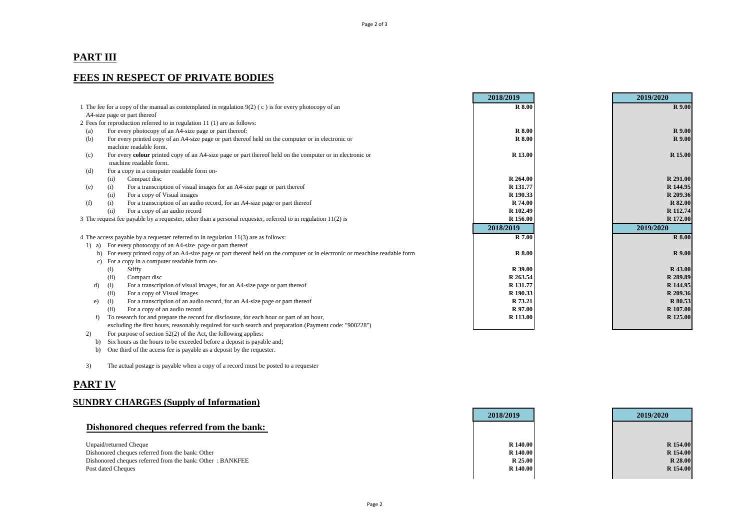## **PART III**

## **FEES IN RESPECT OF PRIVATE BODIES**

|                                                                                                          |                                                                                                                           | 2018/2019     | 2019/2020     |
|----------------------------------------------------------------------------------------------------------|---------------------------------------------------------------------------------------------------------------------------|---------------|---------------|
| 1 The fee for a copy of the manual as contemplated in regulation $9(2)$ (c) is for every photocopy of an |                                                                                                                           | <b>R</b> 8.00 | <b>R</b> 9.00 |
|                                                                                                          | A4-size page or part thereof                                                                                              |               |               |
|                                                                                                          | 2 Fees for reproduction referred to in regulation 11 (1) are as follows:                                                  |               |               |
| (a)                                                                                                      | For every photocopy of an A4-size page or part thereof:                                                                   | <b>R</b> 8.00 | <b>R</b> 9.00 |
| (b)                                                                                                      | For every printed copy of an A4-size page or part thereof held on the computer or in electronic or                        | <b>R</b> 8.00 | <b>R</b> 9.00 |
|                                                                                                          | machine readable form.                                                                                                    |               |               |
| (c)                                                                                                      | For every colour printed copy of an A4-size page or part thereof held on the computer or in electronic or                 | R 13.00       | R 15.00       |
|                                                                                                          | machine readable form.                                                                                                    |               |               |
| (d)                                                                                                      | For a copy in a computer readable form on-                                                                                |               |               |
|                                                                                                          | Compact disc<br>(ii)                                                                                                      | R 264.00      | R 291.00      |
| (e)                                                                                                      | For a transcription of visual images for an A4-size page or part thereof<br>(i)                                           | R 131.77      | R 144.95      |
|                                                                                                          | For a copy of Visual images<br>(ii)                                                                                       | R 190.33      | R 209.36      |
| (f)                                                                                                      | For a transcription of an audio record, for an A4-size page or part thereof<br>(i)                                        | R 74.00       | R 82.00       |
|                                                                                                          | For a copy of an audio record<br>(ii)                                                                                     | R 102.49      | R 112.74      |
|                                                                                                          | 3 The request fee payable by a requester, other than a personal requester, referred to in regulation 11(2) is             | R 156.00      | R 172.00      |
|                                                                                                          |                                                                                                                           | 2018/2019     | 2019/2020     |
|                                                                                                          | 4 The access payable by a requester referred to in regulation $11(3)$ are as follows:                                     | R 7.00        | <b>R</b> 8.00 |
|                                                                                                          | 1) a) For every photocopy of an A4-size page or part thereof                                                              |               |               |
| b)                                                                                                       | For every printed copy of an A4-size page or part thereof held on the computer or in electronic or meachine readable form | <b>R</b> 8.00 | <b>R</b> 9.00 |
| c)                                                                                                       | For a copy in a computer readable form on-                                                                                |               |               |
|                                                                                                          | (i)<br>Stiffy                                                                                                             | R 39.00       | R 43.00       |
|                                                                                                          | Compact disc<br>(ii)                                                                                                      | R 263.54      | R 289.89      |
| d)                                                                                                       | For a transcription of visual images, for an A4-size page or part thereof<br>(i)                                          | R 131.77      | R 144.95      |
|                                                                                                          | For a copy of Visual images<br>(ii)                                                                                       | R 190.33      | R 209.36      |
| e)                                                                                                       | For a transcription of an audio record, for an A4-size page or part thereof<br>(i)                                        | R 73.21       | R 80.53       |
|                                                                                                          | For a copy of an audio record<br>(ii)                                                                                     | R 97.00       | R 107.00      |
| f)                                                                                                       | To research for and prepare the record for disclosure, for each hour or part of an hour,                                  | R 113.00      | R 125.00      |
|                                                                                                          | excluding the first hours, reasonably required for such search and preparation.(Payment code: "900228")                   |               |               |

2) For purpose of section  $52(2)$  of the Act, the following applies:

b) Six hours as the hours to be exceeded before a deposit is payable and;

b) One third of the access fee is payable as a deposit by the requester.

3) The actual postage is payable when a copy of a record must be posted to a requester

### **PART IV**

#### **SUNDRY CHARGES (Supply of Information)**

|                                                           | 2018/2019       | 2019/2020 |
|-----------------------------------------------------------|-----------------|-----------|
| Dishonored cheques referred from the bank:                |                 |           |
|                                                           | <b>R</b> 140.00 | R 154.00  |
| Unpaid/returned Cheque                                    |                 |           |
| Dishonored cheques referred from the bank: Other          | R 140.00        | R 154.00  |
| Dishonored cheques referred from the bank: Other: BANKFEE | <b>R</b> 25.00  | R 28.00   |
| Post dated Cheques                                        | <b>R</b> 140.00 | R 154.00  |

**Contract Contract**